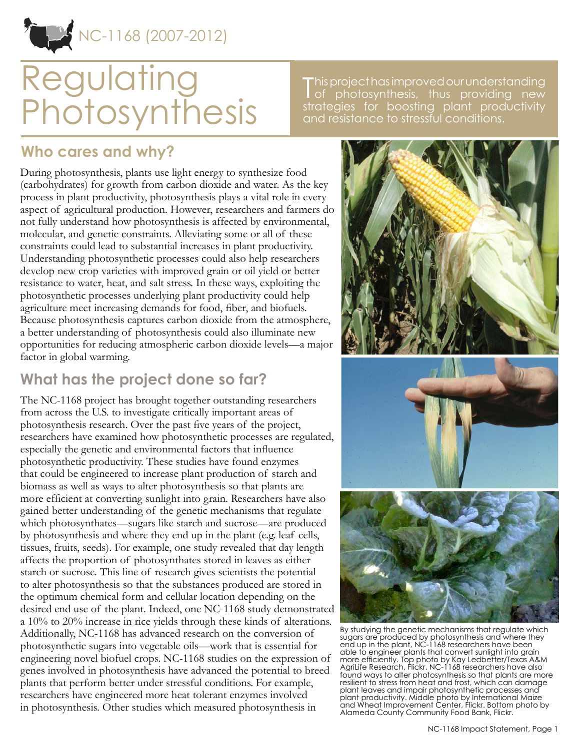NC-1168 (2007-2012)

# **Regulating** Photosynthesis

This project has improved our understanding<br>
of photosynthesis, thus providing new of photosynthesis, thus providing new strategies for boosting plant productivity and resistance to stressful conditions.

#### **Who cares and why?**

During photosynthesis, plants use light energy to synthesize food (carbohydrates) for growth from carbon dioxide and water. As the key process in plant productivity, photosynthesis plays a vital role in every aspect of agricultural production. However, researchers and farmers do not fully understand how photosynthesis is affected by environmental, molecular, and genetic constraints. Alleviating some or all of these constraints could lead to substantial increases in plant productivity. Understanding photosynthetic processes could also help researchers develop new crop varieties with improved grain or oil yield or better resistance to water, heat, and salt stress. In these ways, exploiting the photosynthetic processes underlying plant productivity could help agriculture meet increasing demands for food, fiber, and biofuels. Because photosynthesis captures carbon dioxide from the atmosphere, a better understanding of photosynthesis could also illuminate new opportunities for reducing atmospheric carbon dioxide levels—a major factor in global warming.

## **What has the project done so far?**

The NC-1168 project has brought together outstanding researchers from across the U.S. to investigate critically important areas of photosynthesis research. Over the past five years of the project, researchers have examined how photosynthetic processes are regulated, especially the genetic and environmental factors that influence photosynthetic productivity. These studies have found enzymes that could be engineered to increase plant production of starch and biomass as well as ways to alter photosynthesis so that plants are more efficient at converting sunlight into grain. Researchers have also gained better understanding of the genetic mechanisms that regulate which photosynthates—sugars like starch and sucrose—are produced by photosynthesis and where they end up in the plant (e.g. leaf cells, tissues, fruits, seeds). For example, one study revealed that day length affects the proportion of photosynthates stored in leaves as either starch or sucrose. This line of research gives scientists the potential to alter photosynthesis so that the substances produced are stored in the optimum chemical form and cellular location depending on the desired end use of the plant. Indeed, one NC-1168 study demonstrated a 10% to 20% increase in rice yields through these kinds of alterations. Additionally, NC-1168 has advanced research on the conversion of photosynthetic sugars into vegetable oils—work that is essential for engineering novel biofuel crops. NC-1168 studies on the expression of genes involved in photosynthesis have advanced the potential to breed plants that perform better under stressful conditions. For example, researchers have engineered more heat tolerant enzymes involved in photosynthesis. Other studies which measured photosynthesis in



By studying the genetic mechanisms that regulate which sugars are produced by photosynthesis and where they end up in the plant, NC-1168 researchers have been able to engineer plants that convert sunlight into grain more efficiently. Top photo by Kay Ledbetter/Texas A&M AgriLife Research, Flickr. NC-1168 researchers have also found ways to alter photosynthesis so that plants are more resilient to stress from heat and frost, which can damage plant leaves and impair photosynthetic processes and plant productivity. Middle photo by International Maize and Wheat Improvement Center, Flickr. Bottom photo by Alameda County Community Food Bank, Flickr.